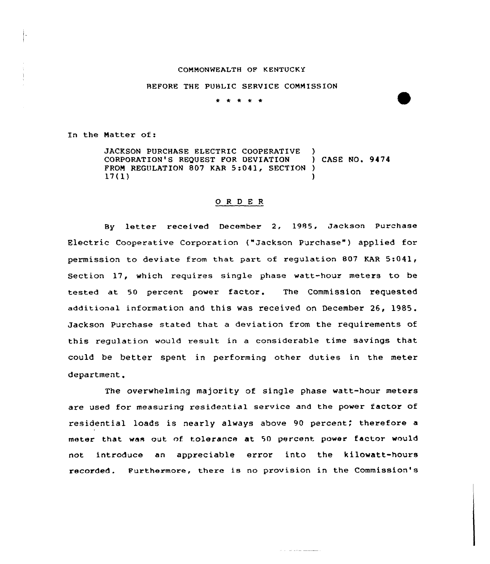## COMMONWEALTH OF KENTUCKY

## BEFORE THE PUBLIC SERVICE COMMISSION

\* \* \* \* \*

In the Natter of:

JACKSON PURCHASE ELECTRIC COOPERATIVE )<br>CORPORATION'S REQUEST FOR DEVIATION ) CASE NO. 9474 CORPORATION'S REQUEST FOR DEVIATION FROM REGULATION 807 KAR 5:041, SECTION )  $17(1)$  )

## O R D E R

By letter received December 2, 1985, Jackson Purchase Electric Cooperative Corporation ("Jackson Purchase" ) applied for permission to deviate from that part of regulation 807 KAR 5:041, Section 17, which requires single phase watt-hour meters to be tested at 50 percent power factor. The Commission requested additional information and this was received on December 26, 1985. Jackson Purchase stated that a deviation from the requirements of this regulation would result in a considerable time savings that could be better spent in performing other duties in the meter department.

The overwhelming majority of single phase watt-hour meters are used for measuring residential service and the power factor of residential loads is nearly always above 90 percent; therefore a meter that was out of tolerance at 50 percent power factor would not introduce an appreciable error into the kilowatt-hours recorded. Furthermore, there is no provision in the Commission's

and the same support of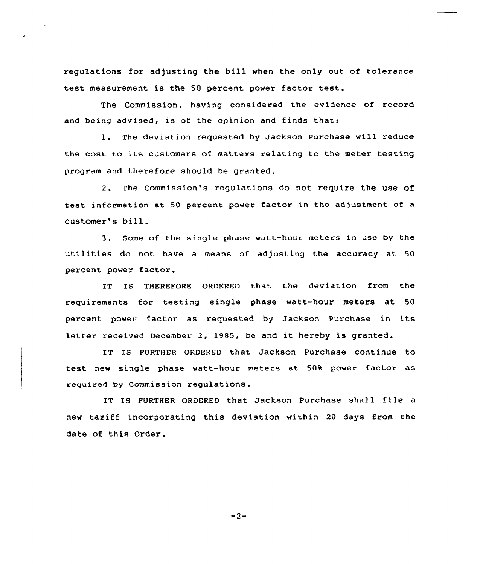regulations for adjusting the bill when the only out of tolerance test measurement is the SO percent power factor test.

The Commission, having considered the evidence of record and being advised, is of the opinion and finds that:

l. The deviation requested by Jackson Purchase will reduce the cost to its customers of matters relating to the meter testing program and therefore should be granted.

2. The commission's regulations do not require the use of test information at 50 percent power factor in the adjustment of <sup>a</sup> customer's bill.

3. Some of the single phase watt-hour meters in use by the utilities do not have a means of adjusting the accuracy at 50 percent power factor.

IT IS THEREFORE ORDERED that the deviation from the requirements for testing single phase watt-hour meters at 50 percent power factor as requested by Jackson Purchase in its letter received December 2, 1985, be and it hereby is granted.

IT IS FURTHER ORDERED that Jackson Purchase continue to test new single phase watt-hour meters at 50% power factor as required by Commission regulations.

IT IS FURTHER ORDERED that Jackson Purchase shall file <sup>a</sup> new tariff incorporating this deviation within <sup>20</sup> days from the date of this Order.

 $-2-$